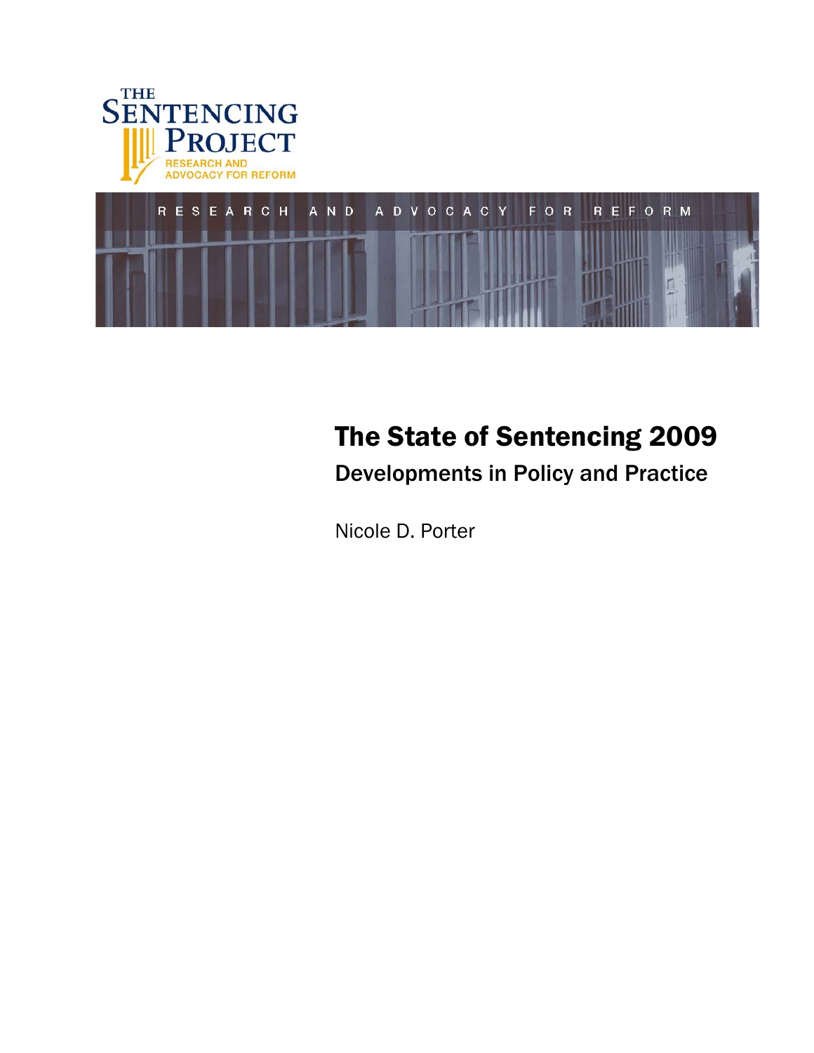



# The State of Sentencing 2009

Developments in Policy and Practice

Nicole D. Porter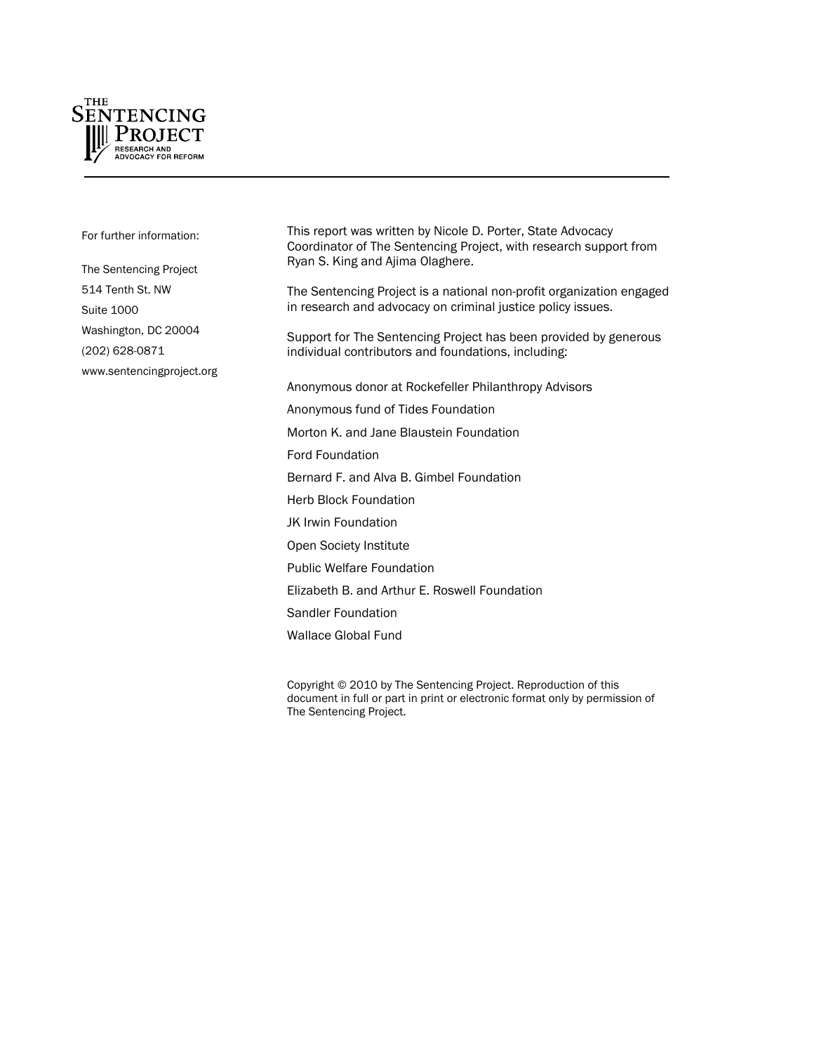

For further information:

The Sentencing Project 514 Tenth St. NW Suite 1000 Washington, DC 20004 (202) 628-0871 www.sentencingproject.org This report was written by Nicole D. Porter, State Advocacy Coordinator of The Sentencing Project, with research support from Ryan S. King and Ajima Olaghere.

The Sentencing Project is a national non-profit organization engaged in research and advocacy on criminal justice policy issues.

Support for The Sentencing Project has been provided by generous individual contributors and foundations, including:

Anonymous donor at Rockefeller Philanthropy Advisors Anonymous fund of Tides Foundation

Morton K. and Jane Blaustein Foundation

Ford Foundation

Bernard F. and Alva B. Gimbel Foundation

Herb Block Foundation

JK Irwin Foundation

Open Society Institute

Public Welfare Foundation

Elizabeth B. and Arthur E. Roswell Foundation

Sandler Foundation

Wallace Global Fund

Copyright © 2010 by The Sentencing Project. Reproduction of this document in full or part in print or electronic format only by permission of The Sentencing Project.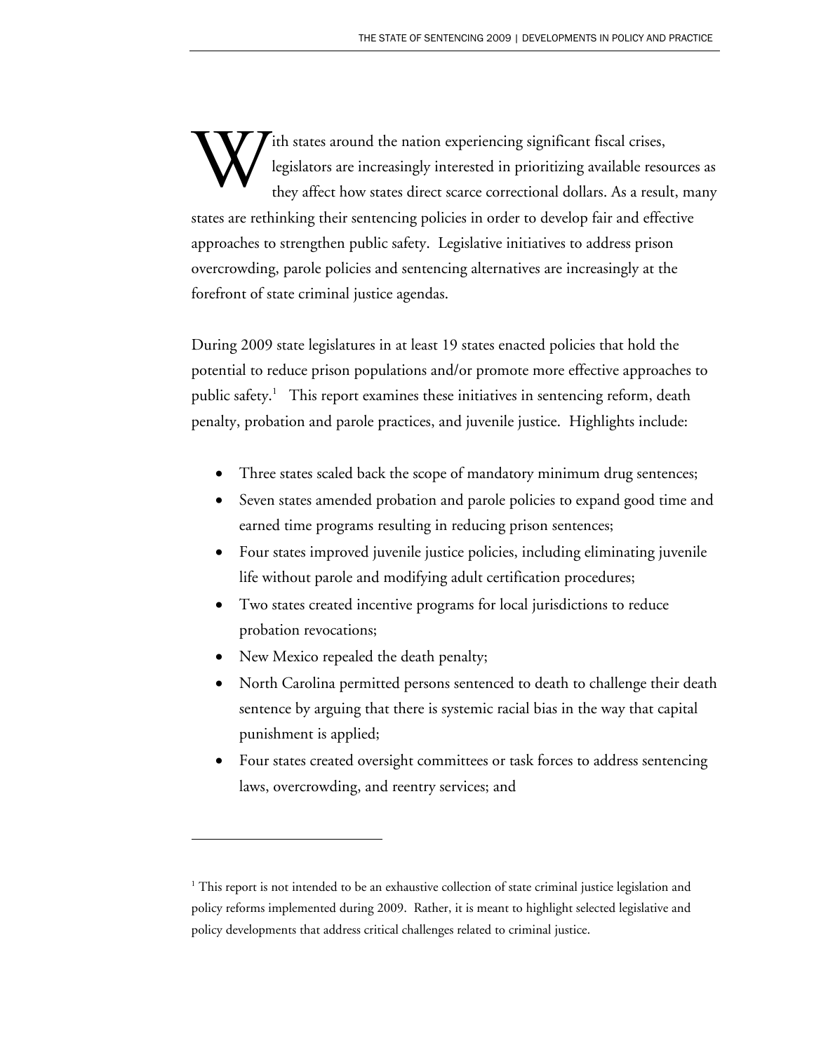ith states around the nation experiencing significant fiscal crises, legislators are increasingly interested in prioritizing available resources as they affect how states direct scarce correctional dollars. As a result, many states are rethinking their sentencing policies in order to develop fair and effective approaches to strengthen public safety. Legislative initiatives to address prison overcrowding, parole policies and sentencing alternatives are increasingly at the forefront of state criminal justice agendas. W

During 2009 state legislatures in at least 19 states enacted policies that hold the potential to reduce prison populations and/or promote more effective approaches to public safety.<sup>1</sup> This report examines these initiatives in sentencing reform, death penalty, probation and parole practices, and juvenile justice. Highlights include:

- Three states scaled back the scope of mandatory minimum drug sentences;
- Seven states amended probation and parole policies to expand good time and earned time programs resulting in reducing prison sentences;
- Four states improved juvenile justice policies, including eliminating juvenile life without parole and modifying adult certification procedures;
- Two states created incentive programs for local jurisdictions to reduce probation revocations;
- New Mexico repealed the death penalty;

 $\overline{a}$ 

- North Carolina permitted persons sentenced to death to challenge their death sentence by arguing that there is systemic racial bias in the way that capital punishment is applied;
- Four states created oversight committees or task forces to address sentencing laws, overcrowding, and reentry services; and

<sup>&</sup>lt;sup>1</sup> This report is not intended to be an exhaustive collection of state criminal justice legislation and policy reforms implemented during 2009. Rather, it is meant to highlight selected legislative and policy developments that address critical challenges related to criminal justice.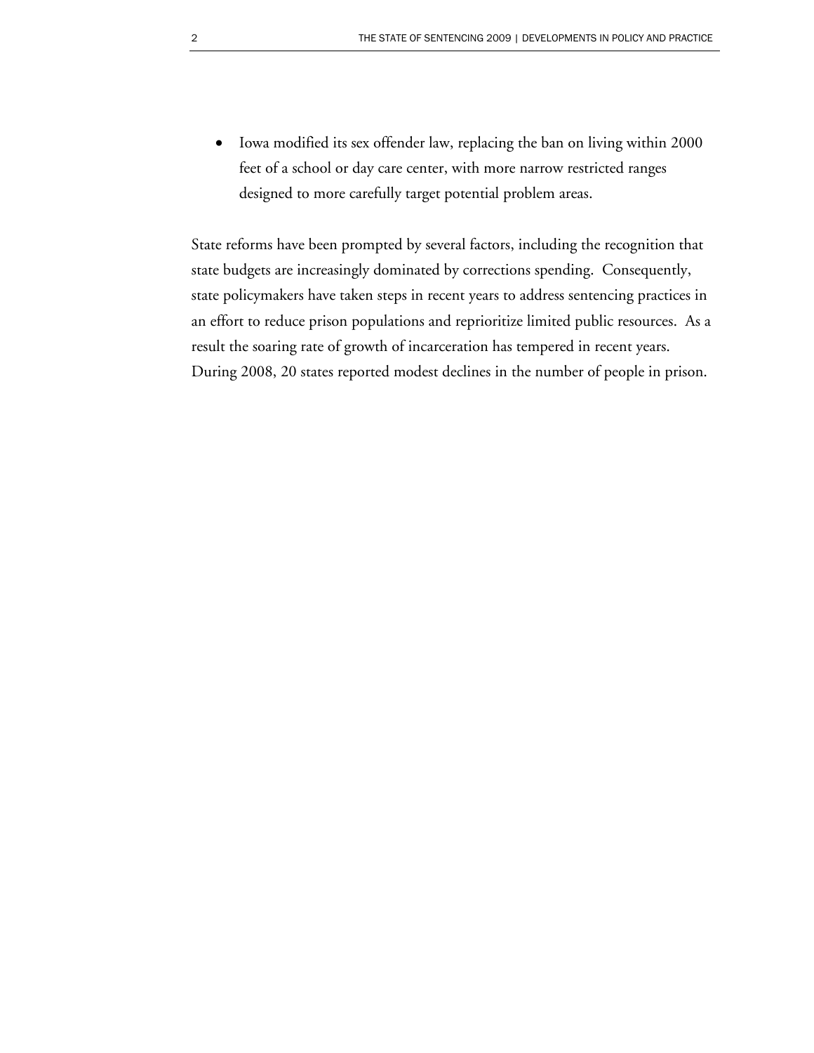x Iowa modified its sex offender law, replacing the ban on living within 2000 feet of a school or day care center, with more narrow restricted ranges designed to more carefully target potential problem areas.

State reforms have been prompted by several factors, including the recognition that state budgets are increasingly dominated by corrections spending. Consequently, state policymakers have taken steps in recent years to address sentencing practices in an effort to reduce prison populations and reprioritize limited public resources. As a result the soaring rate of growth of incarceration has tempered in recent years. During 2008, 20 states reported modest declines in the number of people in prison.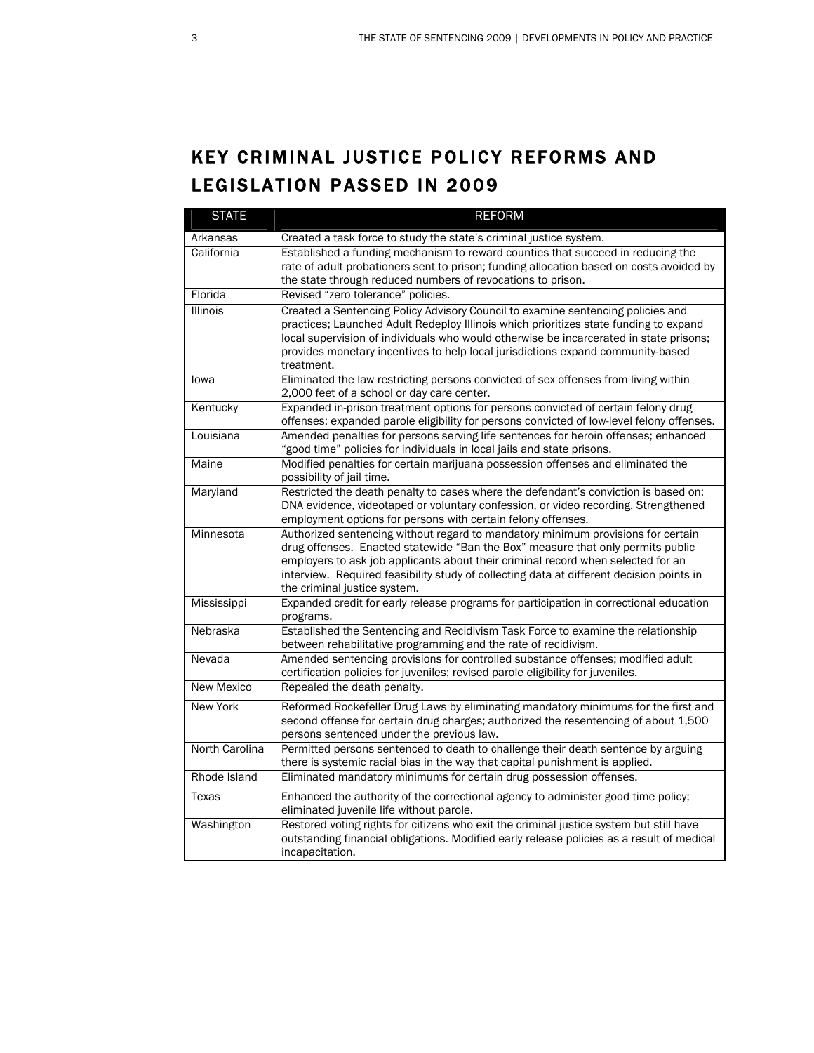## KEY CRIMINAL JUSTICE POLICY REFORMS AND LEGISLATION PASSED IN 2009

| <b>STATE</b>    | <b>REFORM</b>                                                                                                                                                                                                                                                                                                                                                                       |
|-----------------|-------------------------------------------------------------------------------------------------------------------------------------------------------------------------------------------------------------------------------------------------------------------------------------------------------------------------------------------------------------------------------------|
| Arkansas        | Created a task force to study the state's criminal justice system.                                                                                                                                                                                                                                                                                                                  |
| California      | Established a funding mechanism to reward counties that succeed in reducing the<br>rate of adult probationers sent to prison; funding allocation based on costs avoided by<br>the state through reduced numbers of revocations to prison.                                                                                                                                           |
| Florida         | Revised "zero tolerance" policies.                                                                                                                                                                                                                                                                                                                                                  |
| <b>Illinois</b> | Created a Sentencing Policy Advisory Council to examine sentencing policies and<br>practices; Launched Adult Redeploy Illinois which prioritizes state funding to expand<br>local supervision of individuals who would otherwise be incarcerated in state prisons;<br>provides monetary incentives to help local jurisdictions expand community-based<br>treatment.                 |
| lowa            | Eliminated the law restricting persons convicted of sex offenses from living within<br>2,000 feet of a school or day care center.                                                                                                                                                                                                                                                   |
| Kentucky        | Expanded in-prison treatment options for persons convicted of certain felony drug<br>offenses; expanded parole eligibility for persons convicted of low-level felony offenses.                                                                                                                                                                                                      |
| Louisiana       | Amended penalties for persons serving life sentences for heroin offenses; enhanced<br>'good time" policies for individuals in local jails and state prisons.                                                                                                                                                                                                                        |
| Maine           | Modified penalties for certain marijuana possession offenses and eliminated the<br>possibility of jail time.                                                                                                                                                                                                                                                                        |
| Maryland        | Restricted the death penalty to cases where the defendant's conviction is based on:<br>DNA evidence, videotaped or voluntary confession, or video recording. Strengthened<br>employment options for persons with certain felony offenses.                                                                                                                                           |
| Minnesota       | Authorized sentencing without regard to mandatory minimum provisions for certain<br>drug offenses. Enacted statewide "Ban the Box" measure that only permits public<br>employers to ask job applicants about their criminal record when selected for an<br>interview. Required feasibility study of collecting data at different decision points in<br>the criminal justice system. |
| Mississippi     | Expanded credit for early release programs for participation in correctional education<br>programs.                                                                                                                                                                                                                                                                                 |
| Nebraska        | Established the Sentencing and Recidivism Task Force to examine the relationship<br>between rehabilitative programming and the rate of recidivism.                                                                                                                                                                                                                                  |
| Nevada          | Amended sentencing provisions for controlled substance offenses; modified adult<br>certification policies for juveniles; revised parole eligibility for juveniles.                                                                                                                                                                                                                  |
| New Mexico      | Repealed the death penalty.                                                                                                                                                                                                                                                                                                                                                         |
| <b>New York</b> | Reformed Rockefeller Drug Laws by eliminating mandatory minimums for the first and<br>second offense for certain drug charges; authorized the resentencing of about 1,500<br>persons sentenced under the previous law.                                                                                                                                                              |
| North Carolina  | Permitted persons sentenced to death to challenge their death sentence by arguing<br>there is systemic racial bias in the way that capital punishment is applied.                                                                                                                                                                                                                   |
| Rhode Island    | Eliminated mandatory minimums for certain drug possession offenses.                                                                                                                                                                                                                                                                                                                 |
| Texas           | Enhanced the authority of the correctional agency to administer good time policy;<br>eliminated juvenile life without parole.                                                                                                                                                                                                                                                       |
| Washington      | Restored voting rights for citizens who exit the criminal justice system but still have<br>outstanding financial obligations. Modified early release policies as a result of medical<br>incapacitation.                                                                                                                                                                             |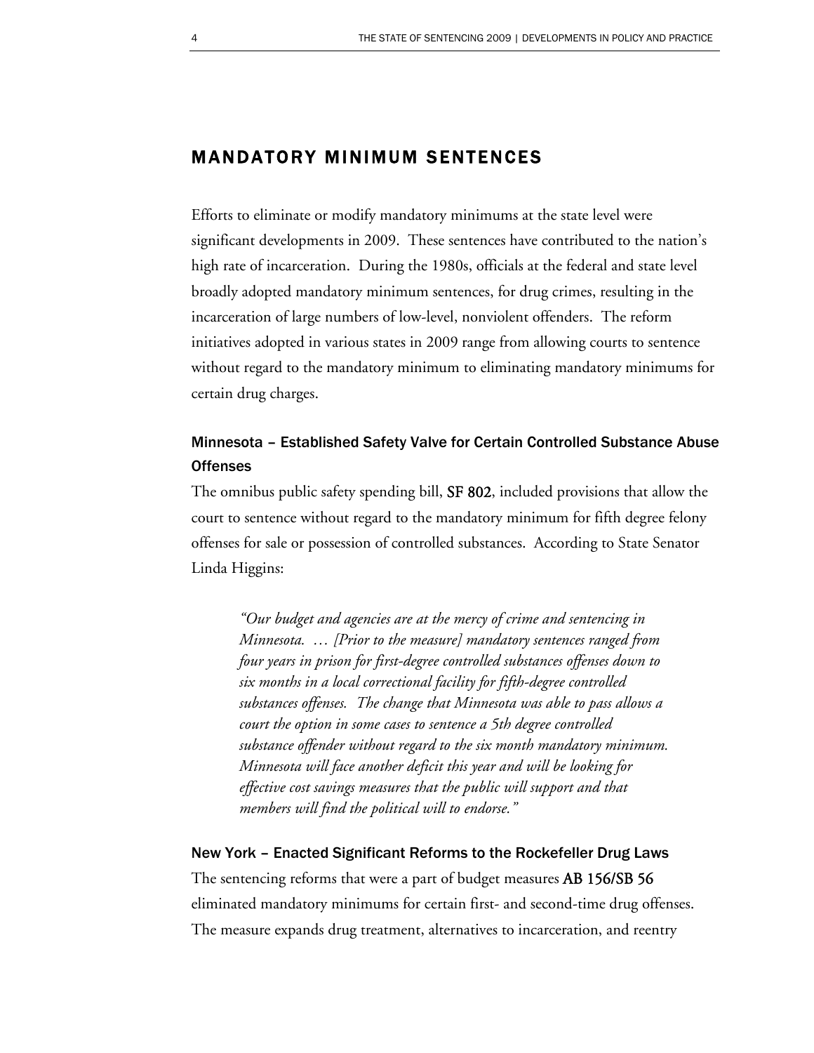### MANDATORY MINIMUM SENTENCES

Efforts to eliminate or modify mandatory minimums at the state level were significant developments in 2009. These sentences have contributed to the nation's high rate of incarceration. During the 1980s, officials at the federal and state level broadly adopted mandatory minimum sentences, for drug crimes, resulting in the incarceration of large numbers of low-level, nonviolent offenders. The reform initiatives adopted in various states in 2009 range from allowing courts to sentence without regard to the mandatory minimum to eliminating mandatory minimums for certain drug charges.

### Minnesota – Established Safety Valve for Certain Controlled Substance Abuse **Offenses**

The omnibus public safety spending bill, SF 802, included provisions that allow the court to sentence without regard to the mandatory minimum for fifth degree felony offenses for sale or possession of controlled substances. According to State Senator Linda Higgins:

*"Our budget and agencies are at the mercy of crime and sentencing in Minnesota. … [Prior to the measure] mandatory sentences ranged from four years in prison for first-degree controlled substances offenses down to six months in a local correctional facility for fifth-degree controlled substances offenses. The change that Minnesota was able to pass allows a court the option in some cases to sentence a 5th degree controlled substance offender without regard to the six month mandatory minimum. Minnesota will face another deficit this year and will be looking for effective cost savings measures that the public will support and that members will find the political will to endorse."* 

#### New York – Enacted Significant Reforms to the Rockefeller Drug Laws

The sentencing reforms that were a part of budget measures AB 156/SB 56 eliminated mandatory minimums for certain first- and second-time drug offenses. The measure expands drug treatment, alternatives to incarceration, and reentry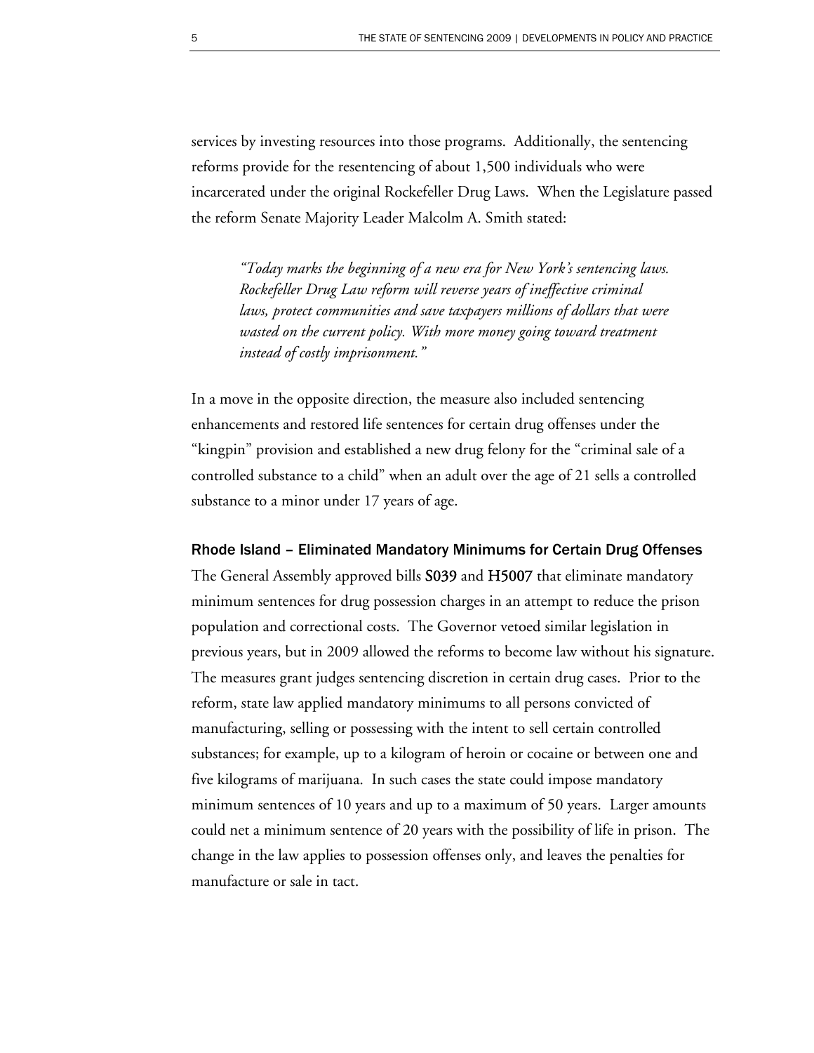services by investing resources into those programs. Additionally, the sentencing reforms provide for the resentencing of about 1,500 individuals who were incarcerated under the original Rockefeller Drug Laws. When the Legislature passed the reform Senate Majority Leader Malcolm A. Smith stated:

*"Today marks the beginning of a new era for New York's sentencing laws. Rockefeller Drug Law reform will reverse years of ineffective criminal laws, protect communities and save taxpayers millions of dollars that were wasted on the current policy. With more money going toward treatment instead of costly imprisonment."* 

In a move in the opposite direction, the measure also included sentencing enhancements and restored life sentences for certain drug offenses under the "kingpin" provision and established a new drug felony for the "criminal sale of a controlled substance to a child" when an adult over the age of 21 sells a controlled substance to a minor under 17 years of age.

Rhode Island – Eliminated Mandatory Minimums for Certain Drug Offenses The General Assembly approved bills S039 and H5007 that eliminate mandatory minimum sentences for drug possession charges in an attempt to reduce the prison population and correctional costs. The Governor vetoed similar legislation in previous years, but in 2009 allowed the reforms to become law without his signature. The measures grant judges sentencing discretion in certain drug cases. Prior to the reform, state law applied mandatory minimums to all persons convicted of manufacturing, selling or possessing with the intent to sell certain controlled substances; for example, up to a kilogram of heroin or cocaine or between one and five kilograms of marijuana. In such cases the state could impose mandatory minimum sentences of 10 years and up to a maximum of 50 years. Larger amounts could net a minimum sentence of 20 years with the possibility of life in prison. The change in the law applies to possession offenses only, and leaves the penalties for manufacture or sale in tact.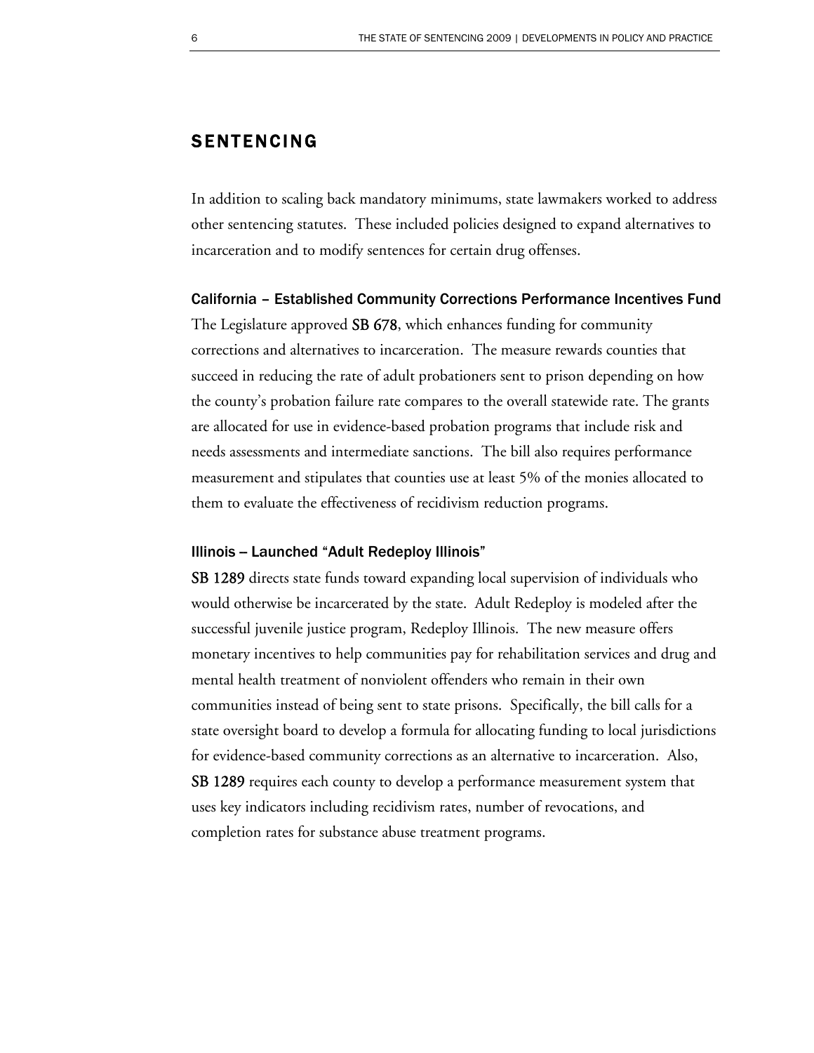### SENTENCING

In addition to scaling back mandatory minimums, state lawmakers worked to address other sentencing statutes. These included policies designed to expand alternatives to incarceration and to modify sentences for certain drug offenses.

#### California – Established Community Corrections Performance Incentives Fund

The Legislature approved **SB 678**, which enhances funding for community corrections and alternatives to incarceration. The measure rewards counties that succeed in reducing the rate of adult probationers sent to prison depending on how the county's probation failure rate compares to the overall statewide rate. The grants are allocated for use in evidence-based probation programs that include risk and needs assessments and intermediate sanctions. The bill also requires performance measurement and stipulates that counties use at least 5% of the monies allocated to them to evaluate the effectiveness of recidivism reduction programs.

#### Illinois - Launched "Adult Redeploy Illinois"

SB 1289 directs state funds toward expanding local supervision of individuals who would otherwise be incarcerated by the state. Adult Redeploy is modeled after the successful juvenile justice program, Redeploy Illinois. The new measure offers monetary incentives to help communities pay for rehabilitation services and drug and mental health treatment of nonviolent offenders who remain in their own communities instead of being sent to state prisons. Specifically, the bill calls for a state oversight board to develop a formula for allocating funding to local jurisdictions for evidence-based community corrections as an alternative to incarceration. Also, SB 1289 requires each county to develop a performance measurement system that uses key indicators including recidivism rates, number of revocations, and completion rates for substance abuse treatment programs.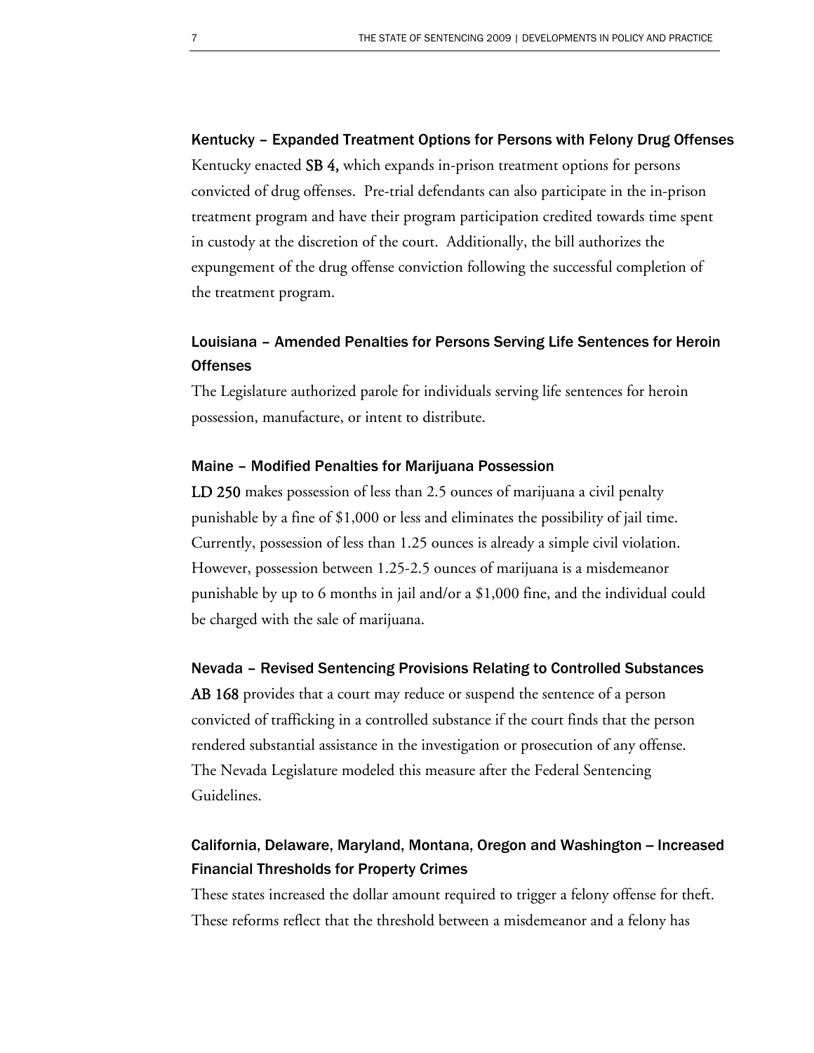Kentucky – Expanded Treatment Options for Persons with Felony Drug Offenses Kentucky enacted SB 4, which expands in-prison treatment options for persons convicted of drug offenses. Pre-trial defendants can also participate in the in-prison treatment program and have their program participation credited towards time spent in custody at the discretion of the court. Additionally, the bill authorizes the expungement of the drug offense conviction following the successful completion of the treatment program.

### Louisiana – Amended Penalties for Persons Serving Life Sentences for Heroin **Offenses**

The Legislature authorized parole for individuals serving life sentences for heroin possession, manufacture, or intent to distribute.

#### Maine – Modified Penalties for Marijuana Possession

LD 250 makes possession of less than 2.5 ounces of marijuana a civil penalty punishable by a fine of \$1,000 or less and eliminates the possibility of jail time. Currently, possession of less than 1.25 ounces is already a simple civil violation. However, possession between 1.25-2.5 ounces of marijuana is a misdemeanor punishable by up to 6 months in jail and/or a \$1,000 fine, and the individual could be charged with the sale of marijuana.

#### Nevada – Revised Sentencing Provisions Relating to Controlled Substances

AB 168 provides that a court may reduce or suspend the sentence of a person convicted of trafficking in a controlled substance if the court finds that the person rendered substantial assistance in the investigation or prosecution of any offense. The Nevada Legislature modeled this measure after the Federal Sentencing Guidelines.

### California, Delaware, Maryland, Montana, Oregon and Washington – Increased Financial Thresholds for Property Crimes

These states increased the dollar amount required to trigger a felony offense for theft. These reforms reflect that the threshold between a misdemeanor and a felony has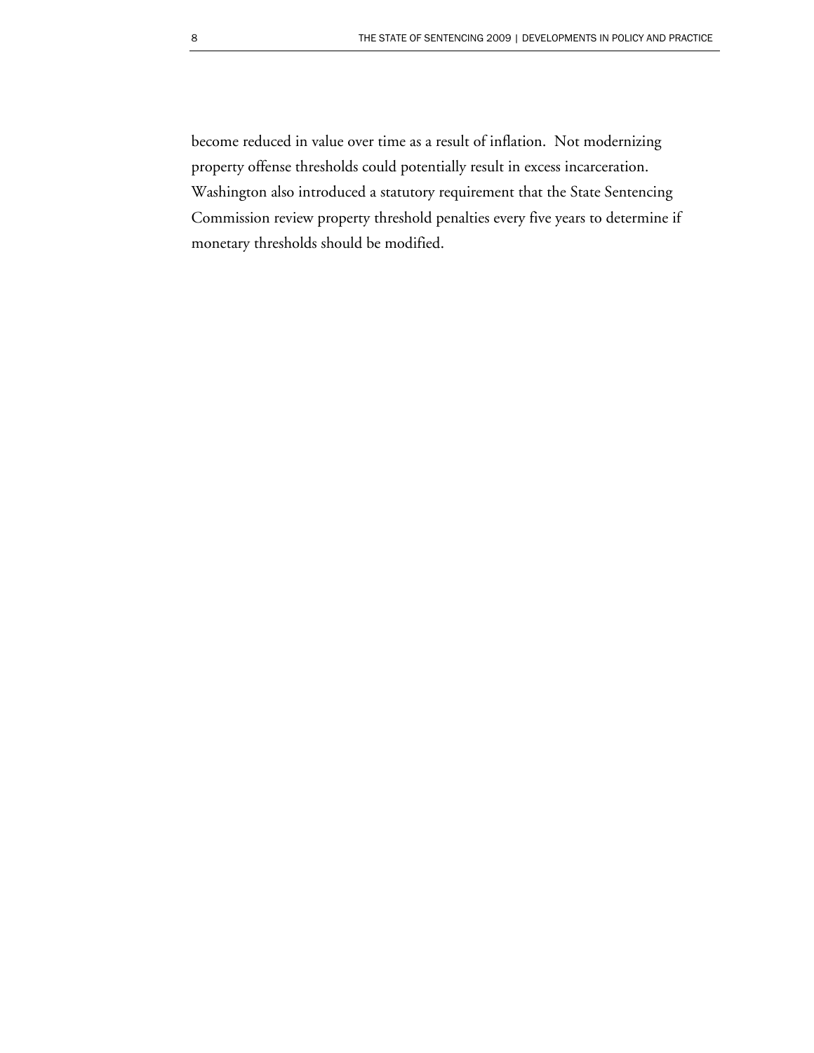become reduced in value over time as a result of inflation. Not modernizing property offense thresholds could potentially result in excess incarceration. Washington also introduced a statutory requirement that the State Sentencing Commission review property threshold penalties every five years to determine if monetary thresholds should be modified.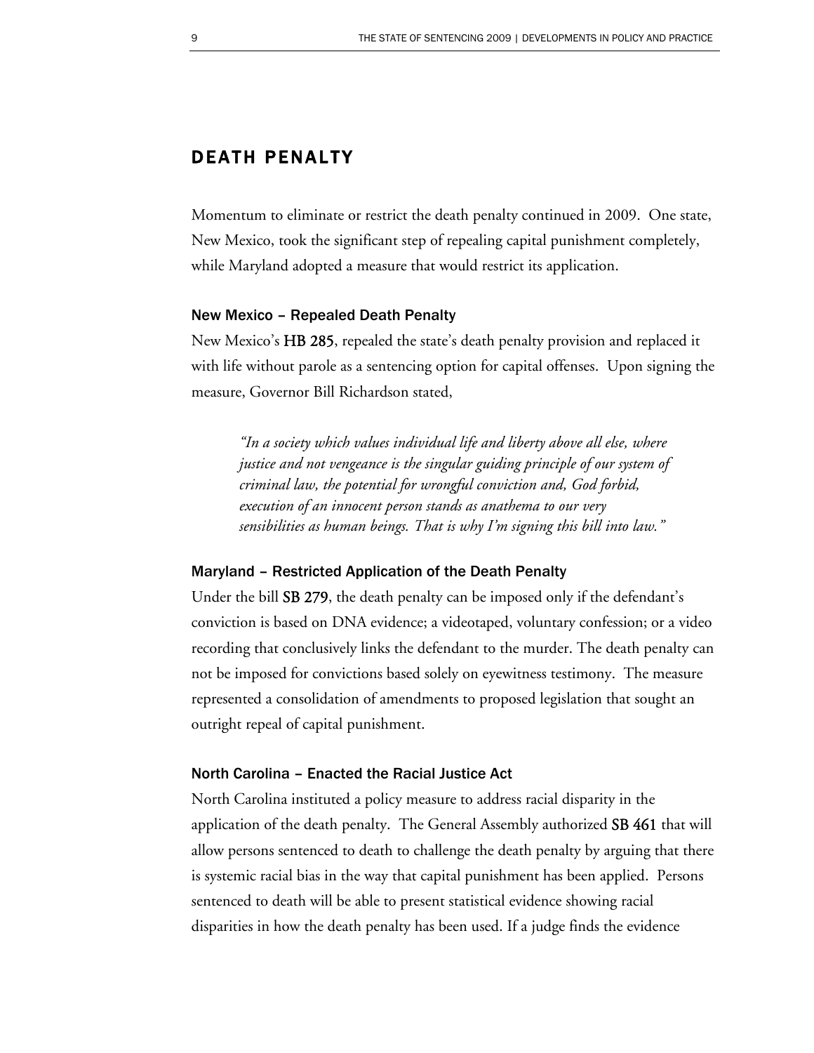### DEATH PENALTY

Momentum to eliminate or restrict the death penalty continued in 2009. One state, New Mexico, took the significant step of repealing capital punishment completely, while Maryland adopted a measure that would restrict its application.

#### New Mexico – Repealed Death Penalty

New Mexico's HB 285, repealed the state's death penalty provision and replaced it with life without parole as a sentencing option for capital offenses. Upon signing the measure, Governor Bill Richardson stated,

*"In a society which values individual life and liberty above all else, where justice and not vengeance is the singular guiding principle of our system of criminal law, the potential for wrongful conviction and, God forbid, execution of an innocent person stands as anathema to our very sensibilities as human beings. That is why I'm signing this bill into law."* 

#### Maryland – Restricted Application of the Death Penalty

Under the bill SB 279, the death penalty can be imposed only if the defendant's conviction is based on DNA evidence; a videotaped, voluntary confession; or a video recording that conclusively links the defendant to the murder. The death penalty can not be imposed for convictions based solely on eyewitness testimony. The measure represented a consolidation of amendments to proposed legislation that sought an outright repeal of capital punishment.

#### North Carolina – Enacted the Racial Justice Act

North Carolina instituted a policy measure to address racial disparity in the application of the death penalty. The General Assembly authorized SB 461 that will allow persons sentenced to death to challenge the death penalty by arguing that there is systemic racial bias in the way that capital punishment has been applied. Persons sentenced to death will be able to present statistical evidence showing racial disparities in how the death penalty has been used. If a judge finds the evidence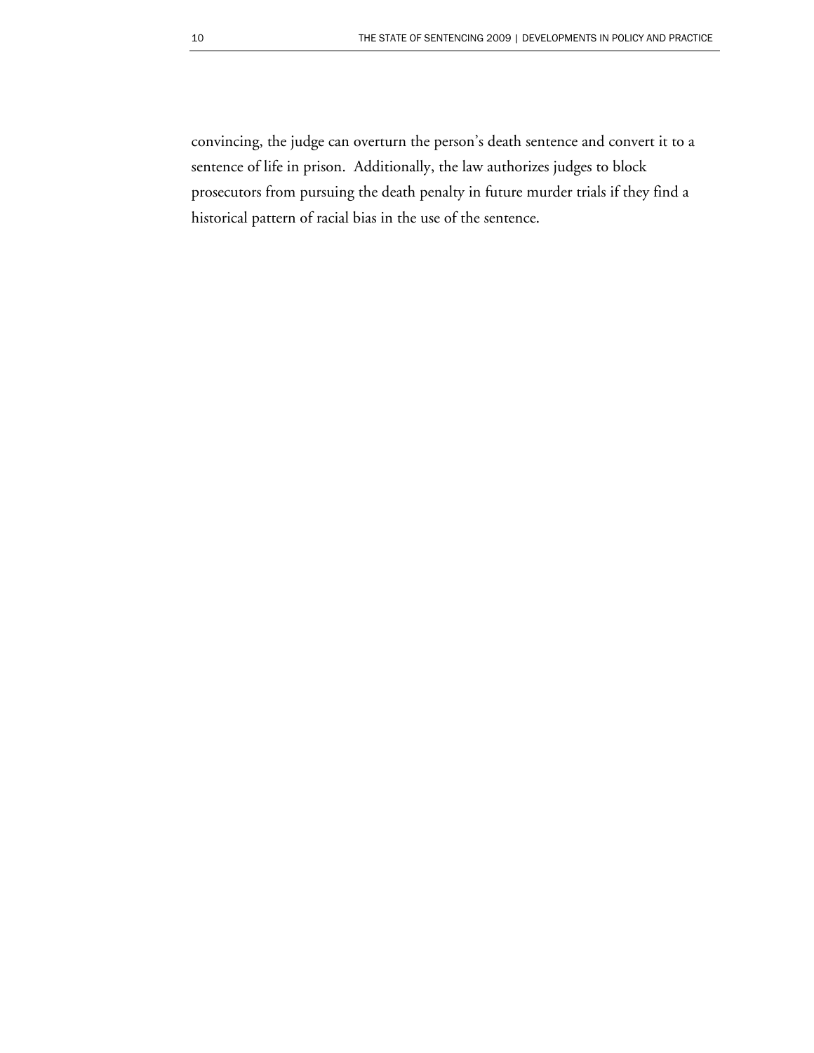convincing, the judge can overturn the person's death sentence and convert it to a sentence of life in prison. Additionally, the law authorizes judges to block prosecutors from pursuing the death penalty in future murder trials if they find a historical pattern of racial bias in the use of the sentence.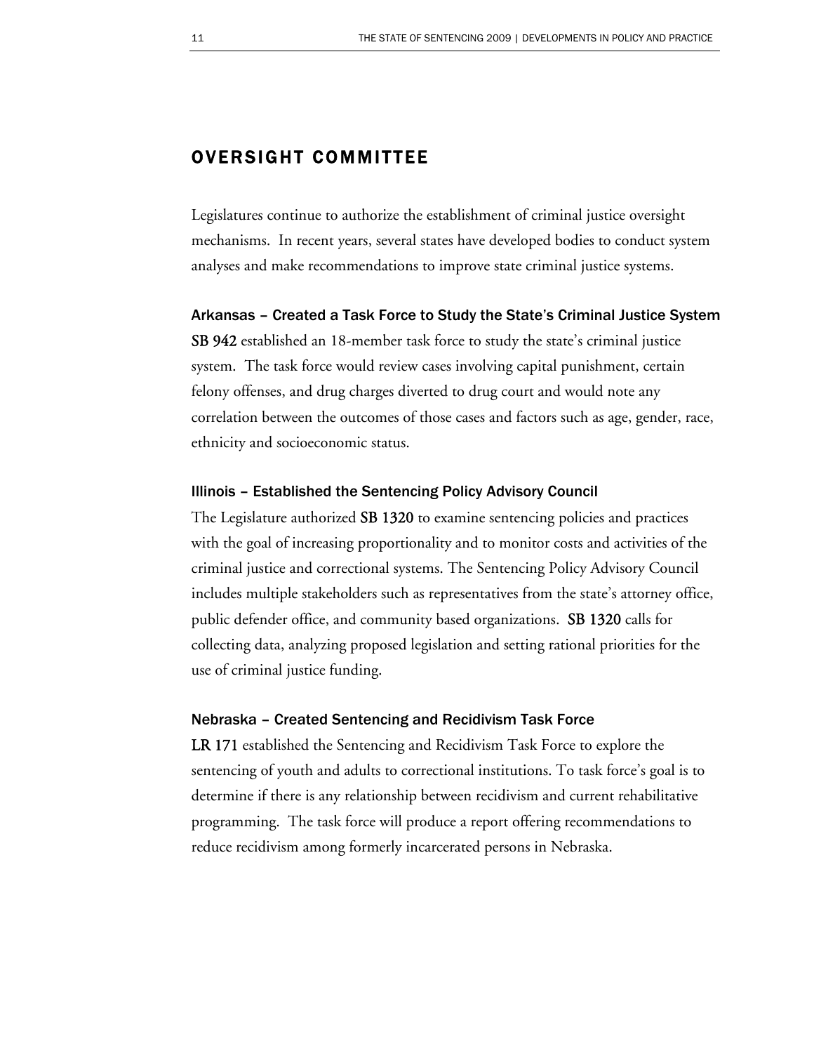### OVERSIGHT COMMITTEE

Legislatures continue to authorize the establishment of criminal justice oversight mechanisms. In recent years, several states have developed bodies to conduct system analyses and make recommendations to improve state criminal justice systems.

Arkansas – Created a Task Force to Study the State's Criminal Justice System

SB 942 established an 18-member task force to study the state's criminal justice system. The task force would review cases involving capital punishment, certain felony offenses, and drug charges diverted to drug court and would note any correlation between the outcomes of those cases and factors such as age, gender, race, ethnicity and socioeconomic status.

#### Illinois – Established the Sentencing Policy Advisory Council

The Legislature authorized SB 1320 to examine sentencing policies and practices with the goal of increasing proportionality and to monitor costs and activities of the criminal justice and correctional systems. The Sentencing Policy Advisory Council includes multiple stakeholders such as representatives from the state's attorney office, public defender office, and community based organizations. SB 1320 calls for collecting data, analyzing proposed legislation and setting rational priorities for the use of criminal justice funding.

#### Nebraska – Created Sentencing and Recidivism Task Force

LR 171established the Sentencing and Recidivism Task Force to explore the sentencing of youth and adults to correctional institutions. To task force's goal is to determine if there is any relationship between recidivism and current rehabilitative programming. The task force will produce a report offering recommendations to reduce recidivism among formerly incarcerated persons in Nebraska.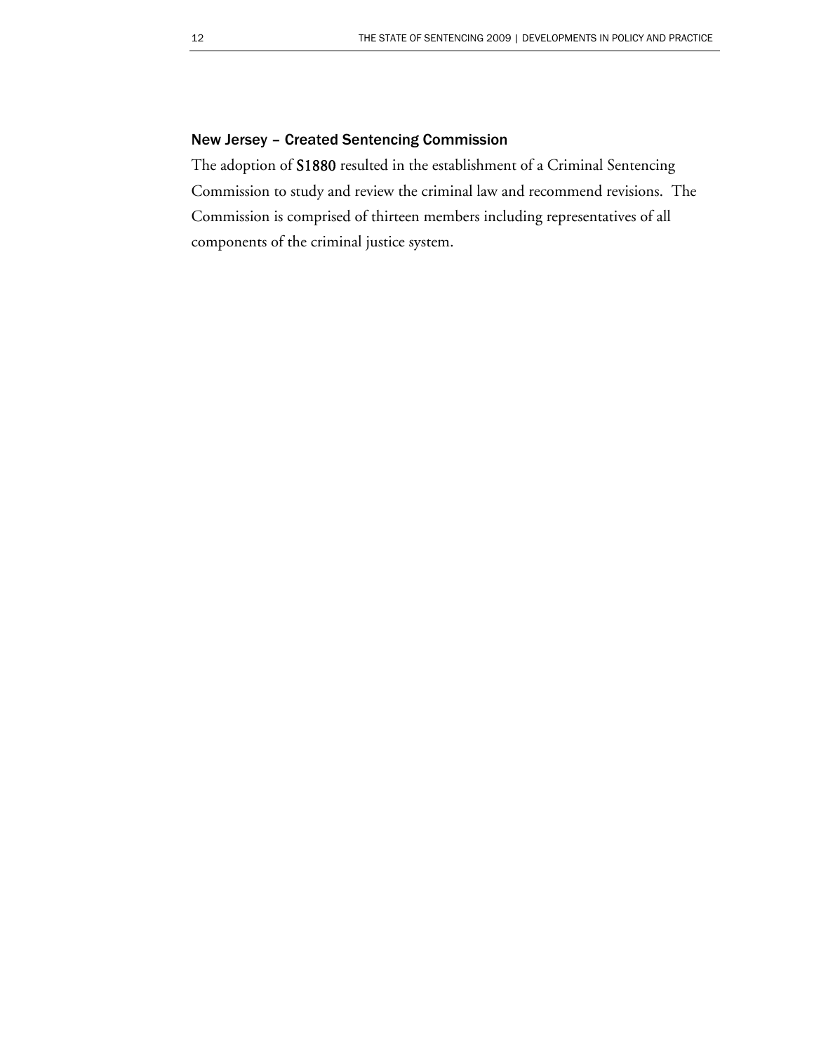#### New Jersey – Created Sentencing Commission

The adoption of S1880 resulted in the establishment of a Criminal Sentencing Commission to study and review the criminal law and recommend revisions. The Commission is comprised of thirteen members including representatives of all components of the criminal justice system.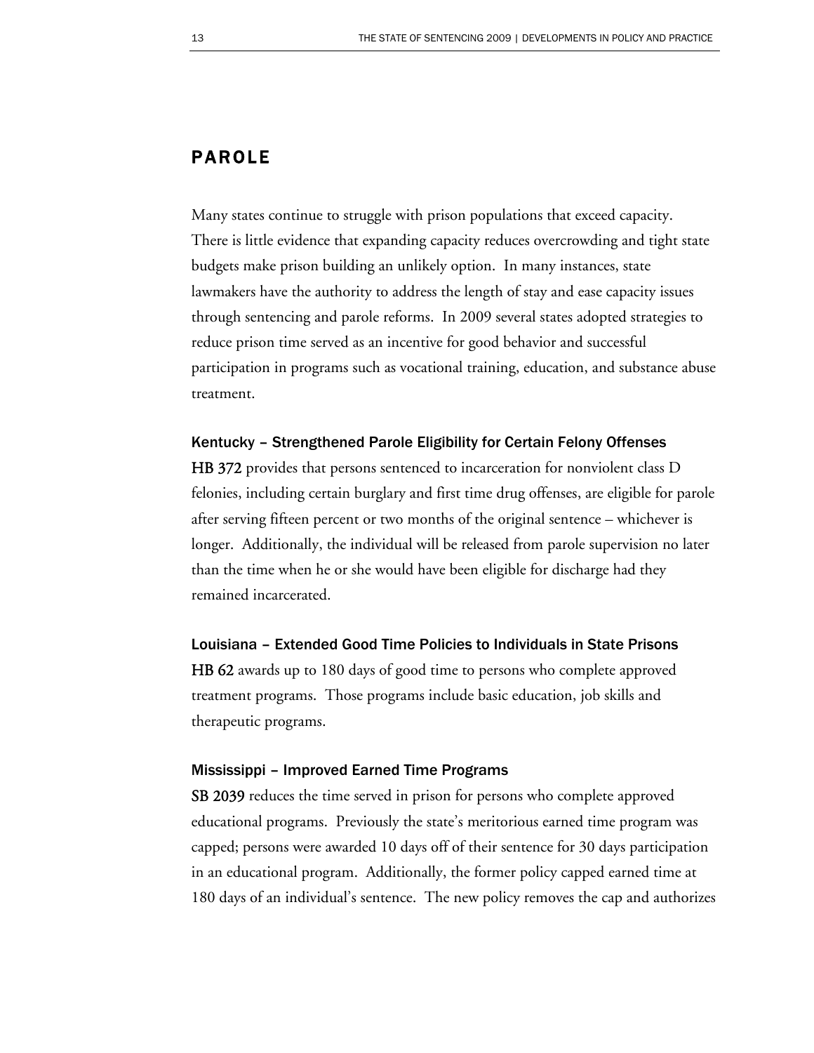### PAROLE

Many states continue to struggle with prison populations that exceed capacity. There is little evidence that expanding capacity reduces overcrowding and tight state budgets make prison building an unlikely option. In many instances, state lawmakers have the authority to address the length of stay and ease capacity issues through sentencing and parole reforms. In 2009 several states adopted strategies to reduce prison time served as an incentive for good behavior and successful participation in programs such as vocational training, education, and substance abuse treatment.

#### Kentucky – Strengthened Parole Eligibility for Certain Felony Offenses

HB 372 provides that persons sentenced to incarceration for nonviolent class D felonies, including certain burglary and first time drug offenses, are eligible for parole after serving fifteen percent or two months of the original sentence – whichever is longer. Additionally, the individual will be released from parole supervision no later than the time when he or she would have been eligible for discharge had they remained incarcerated.

#### Louisiana – Extended Good Time Policies to Individuals in State Prisons

HB 62 awards up to 180 days of good time to persons who complete approved treatment programs. Those programs include basic education, job skills and therapeutic programs.

#### Mississippi – Improved Earned Time Programs

SB 2039 reduces the time served in prison for persons who complete approved educational programs. Previously the state's meritorious earned time program was capped; persons were awarded 10 days off of their sentence for 30 days participation in an educational program. Additionally, the former policy capped earned time at 180 days of an individual's sentence. The new policy removes the cap and authorizes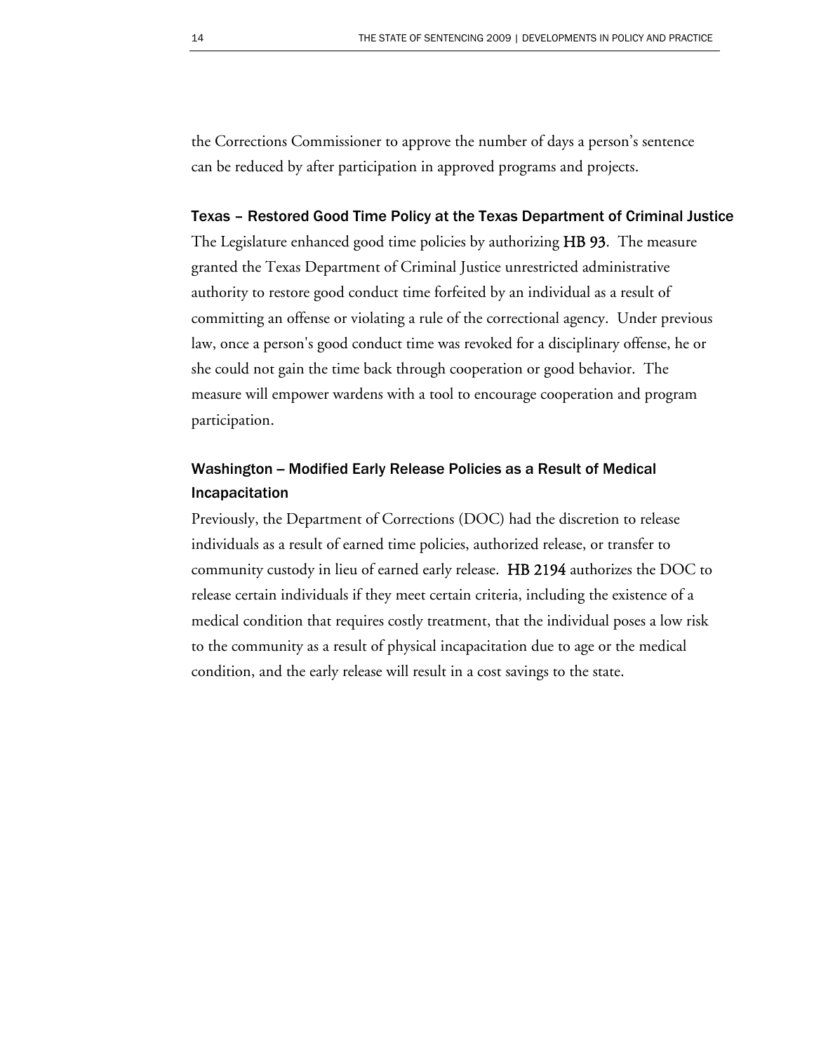the Corrections Commissioner to approve the number of days a person's sentence can be reduced by after participation in approved programs and projects.

#### Texas – Restored Good Time Policy at the Texas Department of Criminal Justice

The Legislature enhanced good time policies by authorizing HB 93. The measure granted the Texas Department of Criminal Justice unrestricted administrative authority to restore good conduct time forfeited by an individual as a result of committing an offense or violating a rule of the correctional agency. Under previous law, once a person's good conduct time was revoked for a disciplinary offense, he or she could not gain the time back through cooperation or good behavior. The measure will empower wardens with a tool to encourage cooperation and program participation.

### Washington -- Modified Early Release Policies as a Result of Medical Incapacitation

Previously, the Department of Corrections (DOC) had the discretion to release individuals as a result of earned time policies, authorized release, or transfer to community custody in lieu of earned early release. HB 2194 authorizes the DOC to release certain individuals if they meet certain criteria, including the existence of a medical condition that requires costly treatment, that the individual poses a low risk to the community as a result of physical incapacitation due to age or the medical condition, and the early release will result in a cost savings to the state.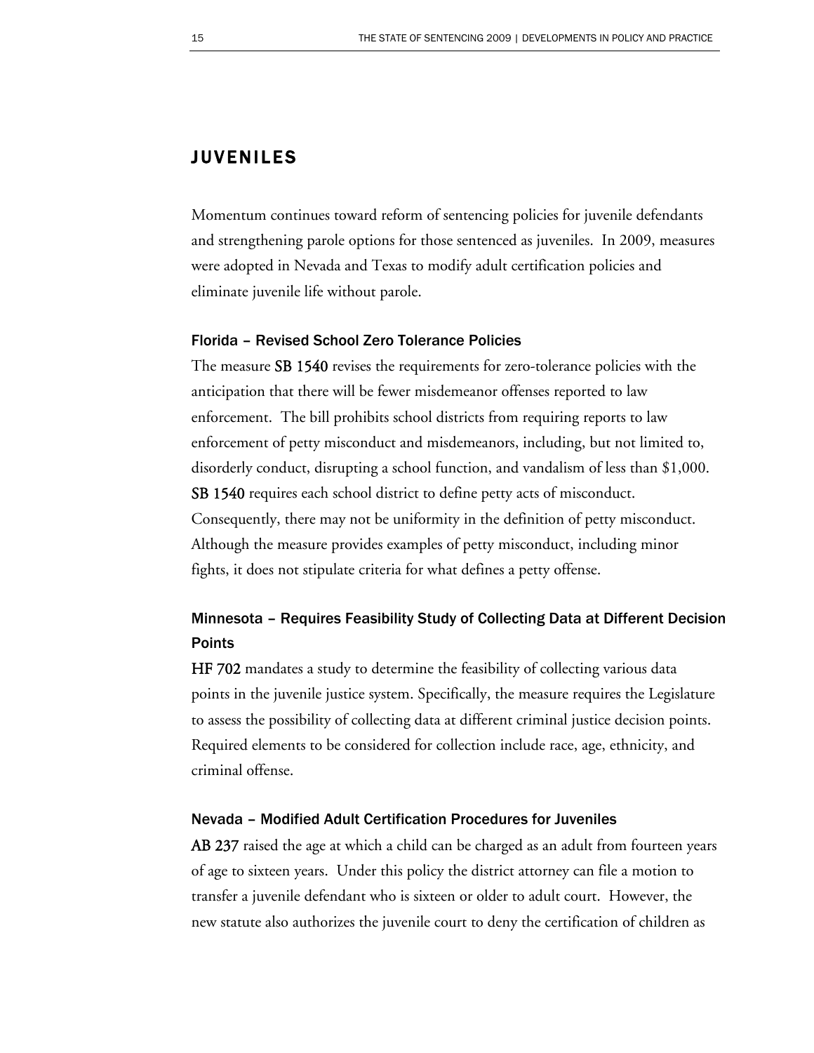### JUVENILES

Momentum continues toward reform of sentencing policies for juvenile defendants and strengthening parole options for those sentenced as juveniles. In 2009, measures were adopted in Nevada and Texas to modify adult certification policies and eliminate juvenile life without parole.

#### Florida – Revised School Zero Tolerance Policies

The measure SB 1540 revises the requirements for zero-tolerance policies with the anticipation that there will be fewer misdemeanor offenses reported to law enforcement. The bill prohibits school districts from requiring reports to law enforcement of petty misconduct and misdemeanors, including, but not limited to, disorderly conduct, disrupting a school function, and vandalism of less than \$1,000. SB 1540 requires each school district to define petty acts of misconduct. Consequently, there may not be uniformity in the definition of petty misconduct. Although the measure provides examples of petty misconduct, including minor fights, it does not stipulate criteria for what defines a petty offense.

### Minnesota – Requires Feasibility Study of Collecting Data at Different Decision **Points**

HF 702 mandates a study to determine the feasibility of collecting various data points in the juvenile justice system. Specifically, the measure requires the Legislature to assess the possibility of collecting data at different criminal justice decision points. Required elements to be considered for collection include race, age, ethnicity, and criminal offense.

#### Nevada – Modified Adult Certification Procedures for Juveniles

AB 237 raised the age at which a child can be charged as an adult from fourteen years of age to sixteen years. Under this policy the district attorney can file a motion to transfer a juvenile defendant who is sixteen or older to adult court. However, the new statute also authorizes the juvenile court to deny the certification of children as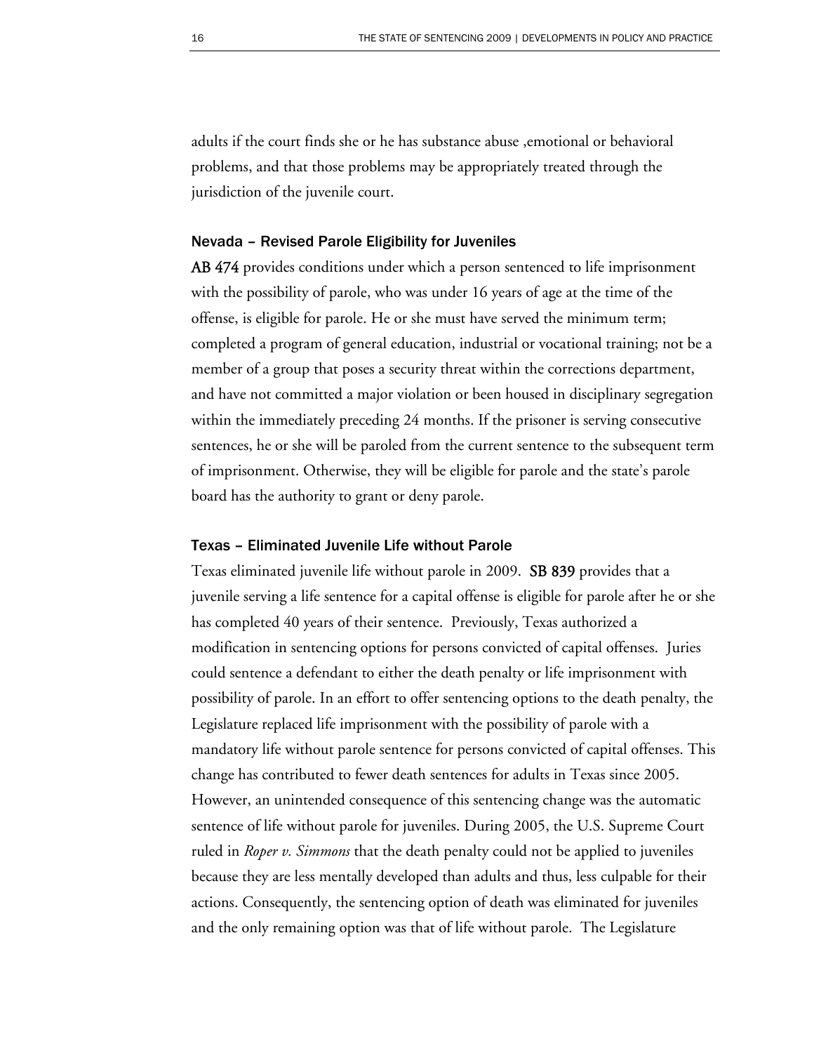adults if the court finds she or he has substance abuse ,emotional or behavioral problems, and that those problems may be appropriately treated through the jurisdiction of the juvenile court.

#### Nevada – Revised Parole Eligibility for Juveniles

AB 474 provides conditions under which a person sentenced to life imprisonment with the possibility of parole, who was under 16 years of age at the time of the offense, is eligible for parole. He or she must have served the minimum term; completed a program of general education, industrial or vocational training; not be a member of a group that poses a security threat within the corrections department, and have not committed a major violation or been housed in disciplinary segregation within the immediately preceding 24 months. If the prisoner is serving consecutive sentences, he or she will be paroled from the current sentence to the subsequent term of imprisonment. Otherwise, they will be eligible for parole and the state's parole board has the authority to grant or deny parole.

#### Texas – Eliminated Juvenile Life without Parole

Texas eliminated juvenile life without parole in 2009. SB 839 provides that a juvenile serving a life sentence for a capital offense is eligible for parole after he or she has completed 40 years of their sentence. Previously, Texas authorized a modification in sentencing options for persons convicted of capital offenses. Juries could sentence a defendant to either the death penalty or life imprisonment with possibility of parole. In an effort to offer sentencing options to the death penalty, the Legislature replaced life imprisonment with the possibility of parole with a mandatory life without parole sentence for persons convicted of capital offenses. This change has contributed to fewer death sentences for adults in Texas since 2005. However, an unintended consequence of this sentencing change was the automatic sentence of life without parole for juveniles. During 2005, the U.S. Supreme Court ruled in *Roper v. Simmons* that the death penalty could not be applied to juveniles because they are less mentally developed than adults and thus, less culpable for their actions. Consequently, the sentencing option of death was eliminated for juveniles and the only remaining option was that of life without parole. The Legislature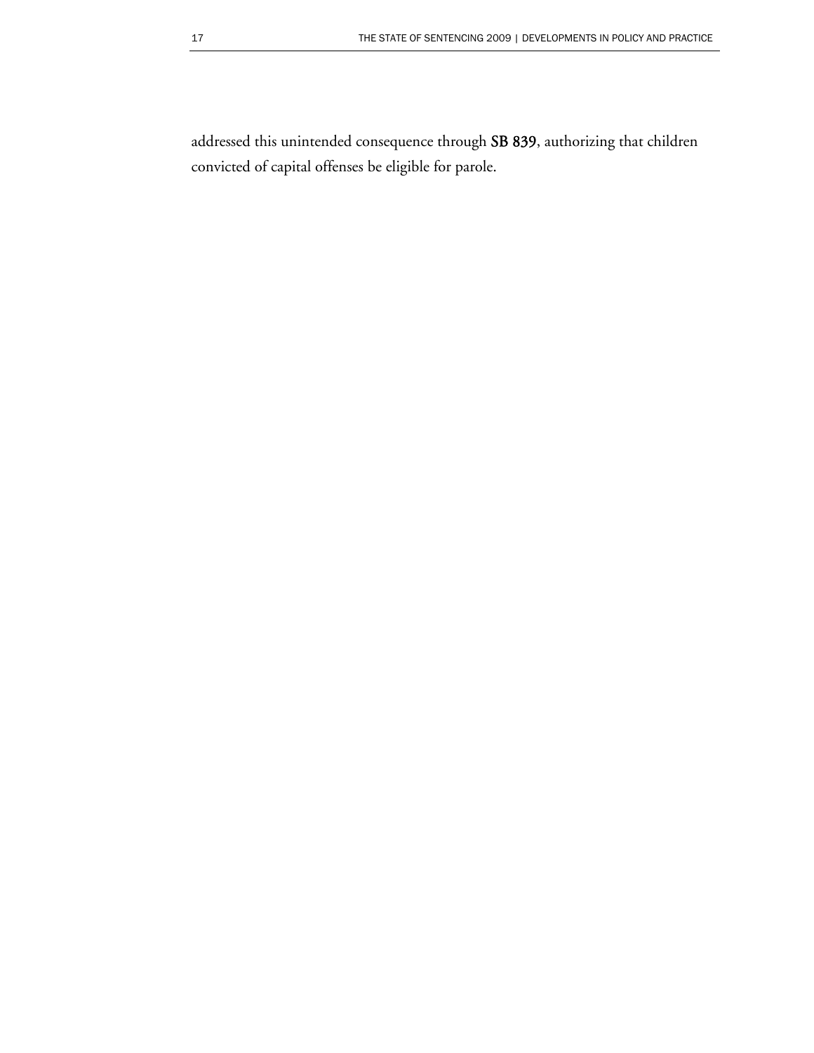addressed this unintended consequence through SB 839, authorizing that children convicted of capital offenses be eligible for parole.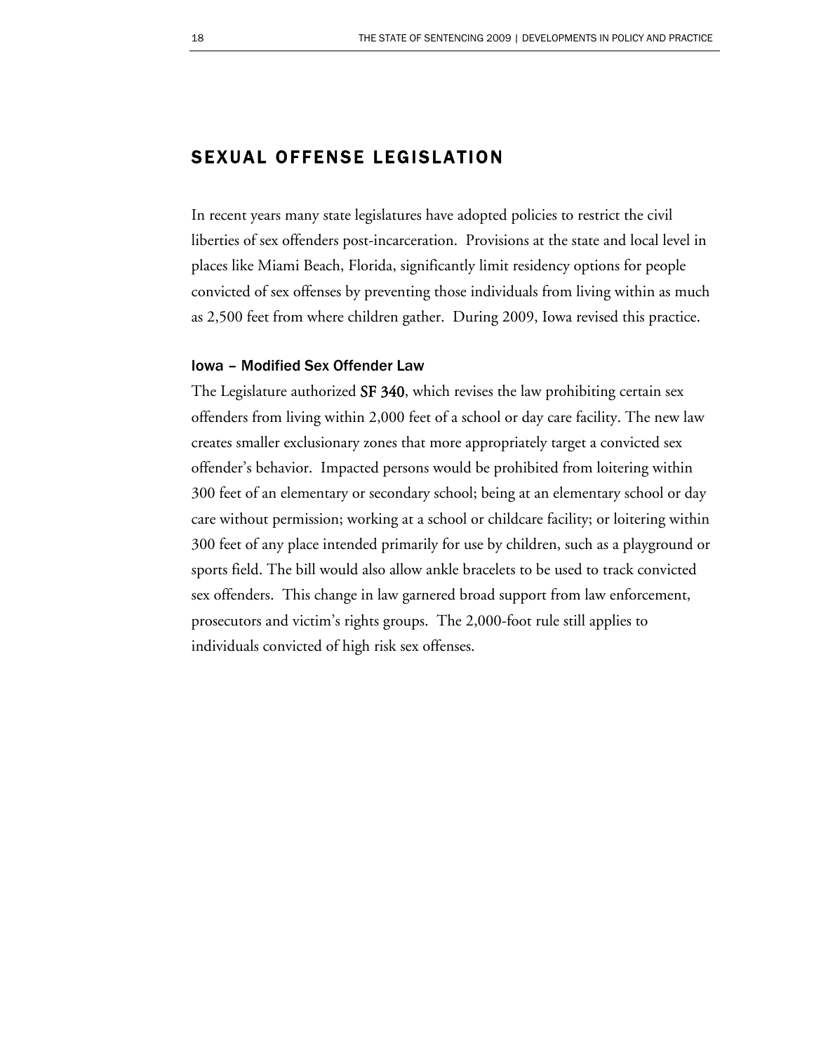### SEXUAL OFFENSE LEGISLATION

In recent years many state legislatures have adopted policies to restrict the civil liberties of sex offenders post-incarceration. Provisions at the state and local level in places like Miami Beach, Florida, significantly limit residency options for people convicted of sex offenses by preventing those individuals from living within as much as 2,500 feet from where children gather. During 2009, Iowa revised this practice.

#### Iowa – Modified Sex Offender Law

The Legislature authorized SF 340, which revises the law prohibiting certain sex offenders from living within 2,000 feet of a school or day care facility. The new law creates smaller exclusionary zones that more appropriately target a convicted sex offender's behavior. Impacted persons would be prohibited from loitering within 300 feet of an elementary or secondary school; being at an elementary school or day care without permission; working at a school or childcare facility; or loitering within 300 feet of any place intended primarily for use by children, such as a playground or sports field. The bill would also allow ankle bracelets to be used to track convicted sex offenders. This change in law garnered broad support from law enforcement, prosecutors and victim's rights groups. The 2,000-foot rule still applies to individuals convicted of high risk sex offenses.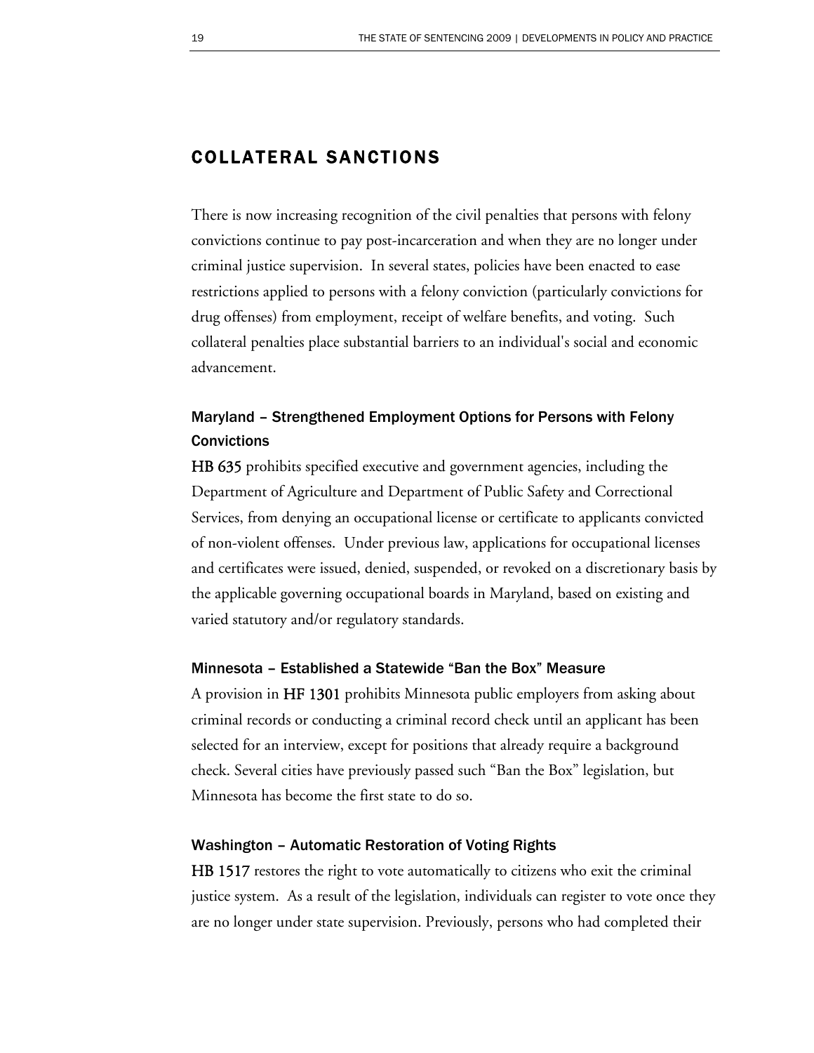### COLLATERAL SANCTIONS

There is now increasing recognition of the civil penalties that persons with felony convictions continue to pay post-incarceration and when they are no longer under criminal justice supervision. In several states, policies have been enacted to ease restrictions applied to persons with a felony conviction (particularly convictions for drug offenses) from employment, receipt of welfare benefits, and voting. Such collateral penalties place substantial barriers to an individual's social and economic advancement.

### Maryland – Strengthened Employment Options for Persons with Felony **Convictions**

HB 635 prohibits specified executive and government agencies, including the Department of Agriculture and Department of Public Safety and Correctional Services, from denying an occupational license or certificate to applicants convicted of non-violent offenses. Under previous law, applications for occupational licenses and certificates were issued, denied, suspended, or revoked on a discretionary basis by the applicable governing occupational boards in Maryland, based on existing and varied statutory and/or regulatory standards.

#### Minnesota – Established a Statewide "Ban the Box" Measure

A provision in HF 1301 prohibits Minnesota public employers from asking about criminal records or conducting a criminal record check until an applicant has been selected for an interview, except for positions that already require a background check. Several cities have previously passed such "Ban the Box" legislation, but Minnesota has become the first state to do so.

#### Washington – Automatic Restoration of Voting Rights

HB 1517 restores the right to vote automatically to citizens who exit the criminal justice system. As a result of the legislation, individuals can register to vote once they are no longer under state supervision. Previously, persons who had completed their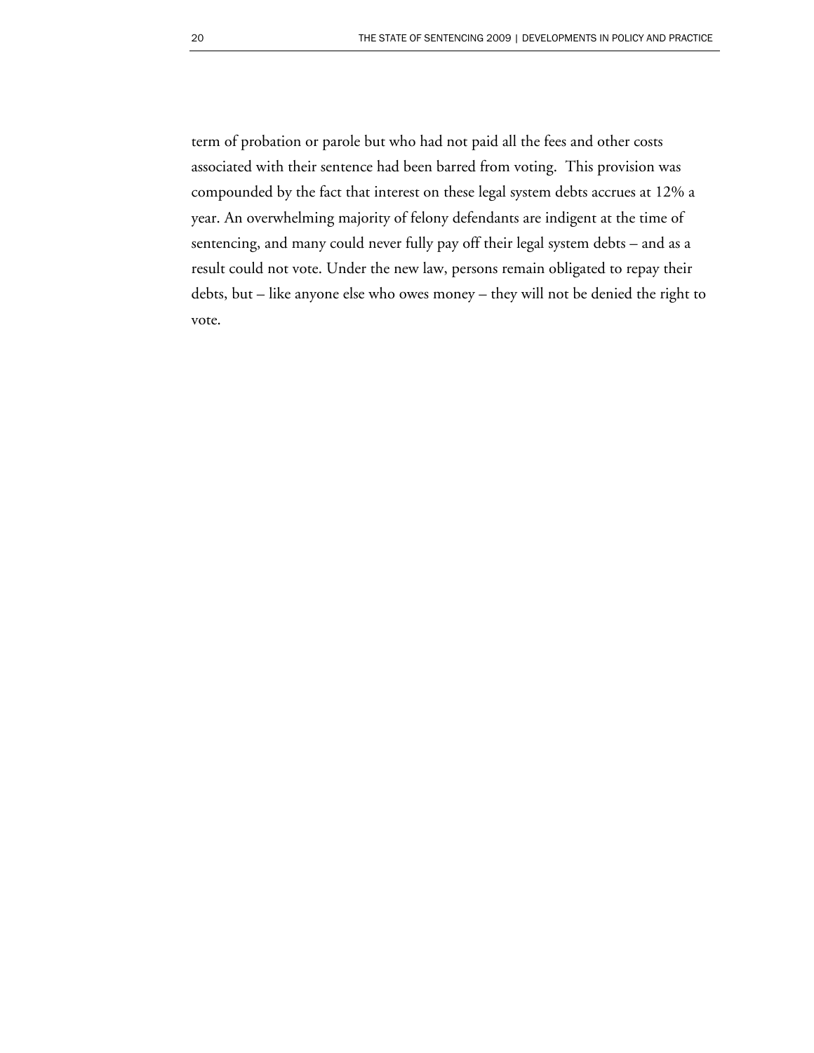term of probation or parole but who had not paid all the fees and other costs associated with their sentence had been barred from voting. This provision was compounded by the fact that interest on these legal system debts accrues at 12% a year. An overwhelming majority of felony defendants are indigent at the time of sentencing, and many could never fully pay off their legal system debts – and as a result could not vote. Under the new law, persons remain obligated to repay their debts, but – like anyone else who owes money – they will not be denied the right to vote.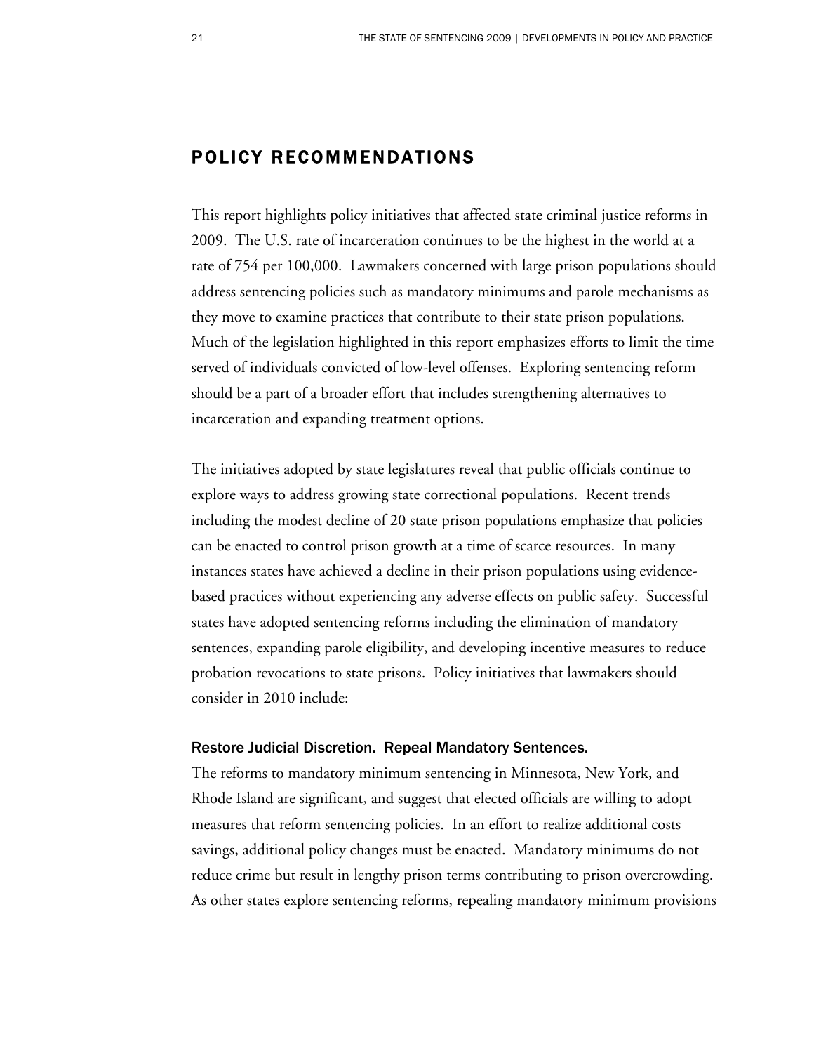### POLICY RECOMMENDATIONS

This report highlights policy initiatives that affected state criminal justice reforms in 2009. The U.S. rate of incarceration continues to be the highest in the world at a rate of 754 per 100,000. Lawmakers concerned with large prison populations should address sentencing policies such as mandatory minimums and parole mechanisms as they move to examine practices that contribute to their state prison populations. Much of the legislation highlighted in this report emphasizes efforts to limit the time served of individuals convicted of low-level offenses. Exploring sentencing reform should be a part of a broader effort that includes strengthening alternatives to incarceration and expanding treatment options.

The initiatives adopted by state legislatures reveal that public officials continue to explore ways to address growing state correctional populations. Recent trends including the modest decline of 20 state prison populations emphasize that policies can be enacted to control prison growth at a time of scarce resources. In many instances states have achieved a decline in their prison populations using evidencebased practices without experiencing any adverse effects on public safety. Successful states have adopted sentencing reforms including the elimination of mandatory sentences, expanding parole eligibility, and developing incentive measures to reduce probation revocations to state prisons. Policy initiatives that lawmakers should consider in 2010 include:

#### Restore Judicial Discretion. Repeal Mandatory Sentences.

The reforms to mandatory minimum sentencing in Minnesota, New York, and Rhode Island are significant, and suggest that elected officials are willing to adopt measures that reform sentencing policies. In an effort to realize additional costs savings, additional policy changes must be enacted. Mandatory minimums do not reduce crime but result in lengthy prison terms contributing to prison overcrowding. As other states explore sentencing reforms, repealing mandatory minimum provisions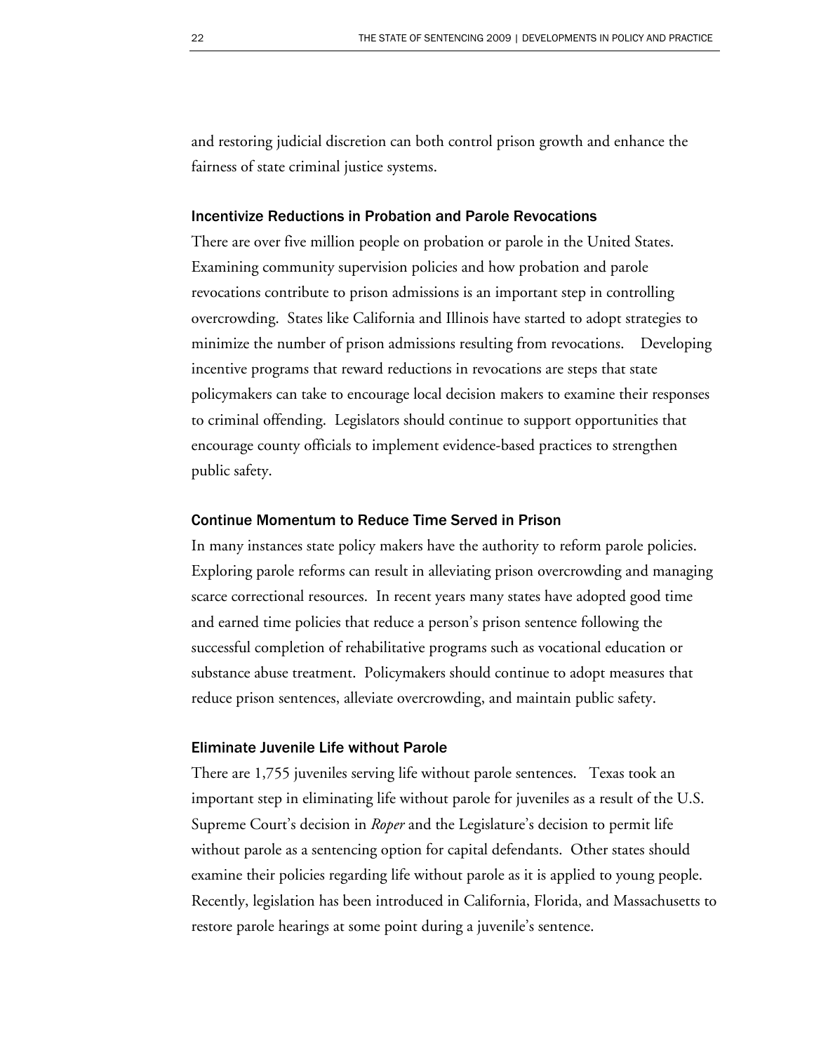and restoring judicial discretion can both control prison growth and enhance the fairness of state criminal justice systems.

#### Incentivize Reductions in Probation and Parole Revocations

There are over five million people on probation or parole in the United States. Examining community supervision policies and how probation and parole revocations contribute to prison admissions is an important step in controlling overcrowding. States like California and Illinois have started to adopt strategies to minimize the number of prison admissions resulting from revocations. Developing incentive programs that reward reductions in revocations are steps that state policymakers can take to encourage local decision makers to examine their responses to criminal offending. Legislators should continue to support opportunities that encourage county officials to implement evidence-based practices to strengthen public safety.

#### Continue Momentum to Reduce Time Served in Prison

In many instances state policy makers have the authority to reform parole policies. Exploring parole reforms can result in alleviating prison overcrowding and managing scarce correctional resources. In recent years many states have adopted good time and earned time policies that reduce a person's prison sentence following the successful completion of rehabilitative programs such as vocational education or substance abuse treatment. Policymakers should continue to adopt measures that reduce prison sentences, alleviate overcrowding, and maintain public safety.

#### Eliminate Juvenile Life without Parole

There are 1,755 juveniles serving life without parole sentences. Texas took an important step in eliminating life without parole for juveniles as a result of the U.S. Supreme Court's decision in *Roper* and the Legislature's decision to permit life without parole as a sentencing option for capital defendants. Other states should examine their policies regarding life without parole as it is applied to young people. Recently, legislation has been introduced in California, Florida, and Massachusetts to restore parole hearings at some point during a juvenile's sentence.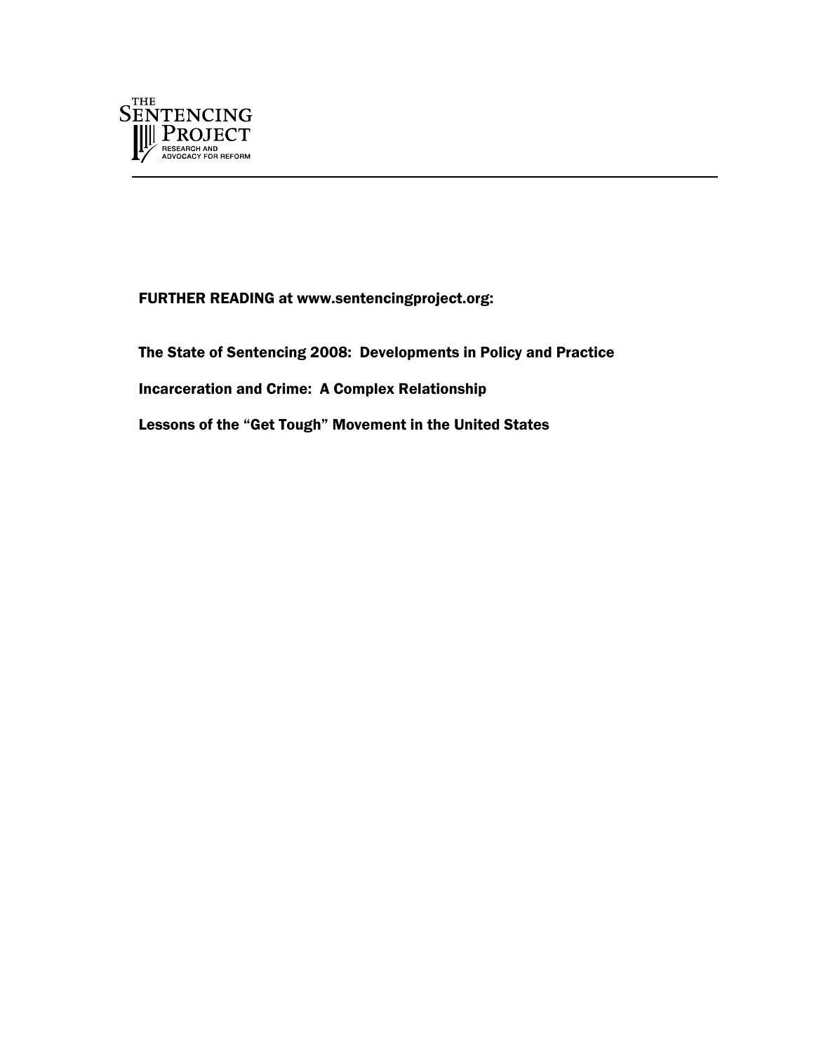

FURTHER READING at www.sentencingproject.org:

The State of Sentencing 2008: Developments in Policy and Practice

Incarceration and Crime: A Complex Relationship

Lessons of the "Get Tough" Movement in the United States